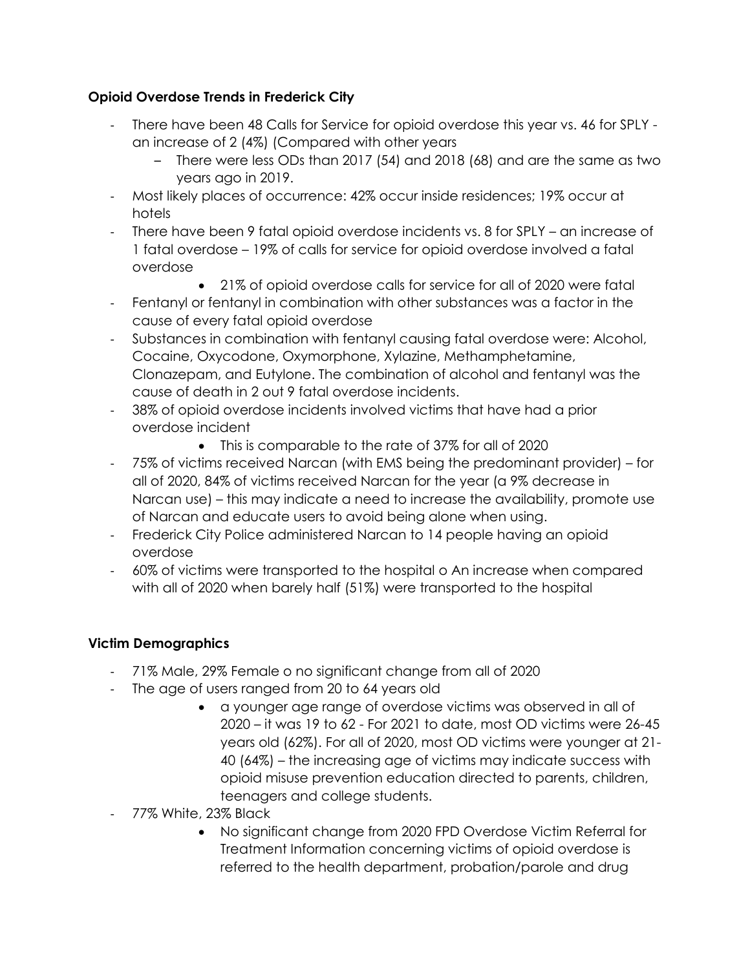# **Opioid Overdose Trends in Frederick City**

- There have been 48 Calls for Service for opioid overdose this year vs. 46 for SPLY an increase of 2 (4%) (Compared with other years
	- There were less ODs than 2017 (54) and 2018 (68) and are the same as two years ago in 2019.
- Most likely places of occurrence: 42% occur inside residences; 19% occur at hotels
- There have been 9 fatal opioid overdose incidents vs. 8 for SPLY an increase of 1 fatal overdose – 19% of calls for service for opioid overdose involved a fatal overdose
	- 21% of opioid overdose calls for service for all of 2020 were fatal
- Fentanyl or fentanyl in combination with other substances was a factor in the cause of every fatal opioid overdose
- Substances in combination with fentanyl causing fatal overdose were: Alcohol, Cocaine, Oxycodone, Oxymorphone, Xylazine, Methamphetamine, Clonazepam, and Eutylone. The combination of alcohol and fentanyl was the cause of death in 2 out 9 fatal overdose incidents.
- 38% of opioid overdose incidents involved victims that have had a prior overdose incident
	- This is comparable to the rate of 37% for all of 2020
- 75% of victims received Narcan (with EMS being the predominant provider) for all of 2020, 84% of victims received Narcan for the year (a 9% decrease in Narcan use) – this may indicate a need to increase the availability, promote use of Narcan and educate users to avoid being alone when using.
- Frederick City Police administered Narcan to 14 people having an opioid overdose
- 60% of victims were transported to the hospital o An increase when compared with all of 2020 when barely half (51%) were transported to the hospital

# **Victim Demographics**

- 71% Male, 29% Female o no significant change from all of 2020
- The age of users ranged from 20 to 64 years old
	- a younger age range of overdose victims was observed in all of 2020 – it was 19 to 62 - For 2021 to date, most OD victims were 26-45 years old (62%). For all of 2020, most OD victims were younger at 21- 40 (64%) – the increasing age of victims may indicate success with opioid misuse prevention education directed to parents, children, teenagers and college students.
- 77% White, 23% Black
	- No significant change from 2020 FPD Overdose Victim Referral for Treatment Information concerning victims of opioid overdose is referred to the health department, probation/parole and drug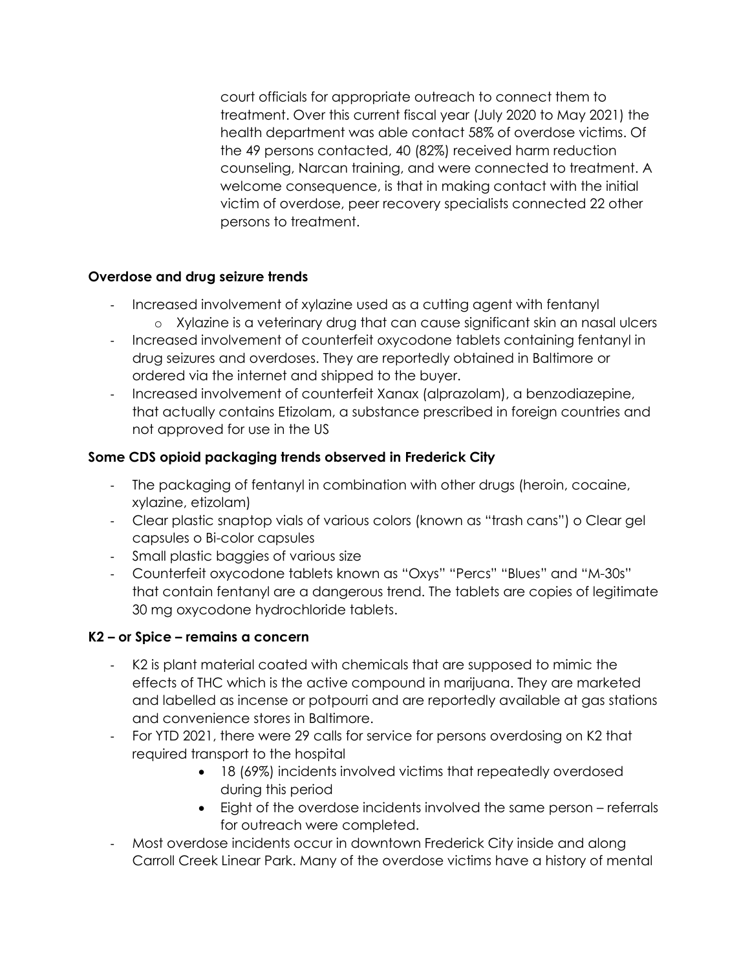court officials for appropriate outreach to connect them to treatment. Over this current fiscal year (July 2020 to May 2021) the health department was able contact 58% of overdose victims. Of the 49 persons contacted, 40 (82%) received harm reduction counseling, Narcan training, and were connected to treatment. A welcome consequence, is that in making contact with the initial victim of overdose, peer recovery specialists connected 22 other persons to treatment.

# **Overdose and drug seizure trends**

- Increased involvement of xylazine used as a cutting agent with fentanyl o Xylazine is a veterinary drug that can cause significant skin an nasal ulcers
- Increased involvement of counterfeit oxycodone tablets containing fentanyl in drug seizures and overdoses. They are reportedly obtained in Baltimore or ordered via the internet and shipped to the buyer.
- Increased involvement of counterfeit Xanax (alprazolam), a benzodiazepine, that actually contains Etizolam, a substance prescribed in foreign countries and not approved for use in the US

# **Some CDS opioid packaging trends observed in Frederick City**

- The packaging of fentanyl in combination with other drugs (heroin, cocaine, xylazine, etizolam)
- Clear plastic snaptop vials of various colors (known as "trash cans") o Clear gel capsules o Bi-color capsules
- Small plastic baggies of various size
- Counterfeit oxycodone tablets known as "Oxys" "Percs" "Blues" and "M-30s" that contain fentanyl are a dangerous trend. The tablets are copies of legitimate 30 mg oxycodone hydrochloride tablets.

# **K2 – or Spice – remains a concern**

- K2 is plant material coated with chemicals that are supposed to mimic the effects of THC which is the active compound in marijuana. They are marketed and labelled as incense or potpourri and are reportedly available at gas stations and convenience stores in Baltimore.
- For YTD 2021, there were 29 calls for service for persons overdosing on K2 that required transport to the hospital
	- 18 (69%) incidents involved victims that repeatedly overdosed during this period
	- Eight of the overdose incidents involved the same person referrals for outreach were completed.
- Most overdose incidents occur in downtown Frederick City inside and along Carroll Creek Linear Park. Many of the overdose victims have a history of mental